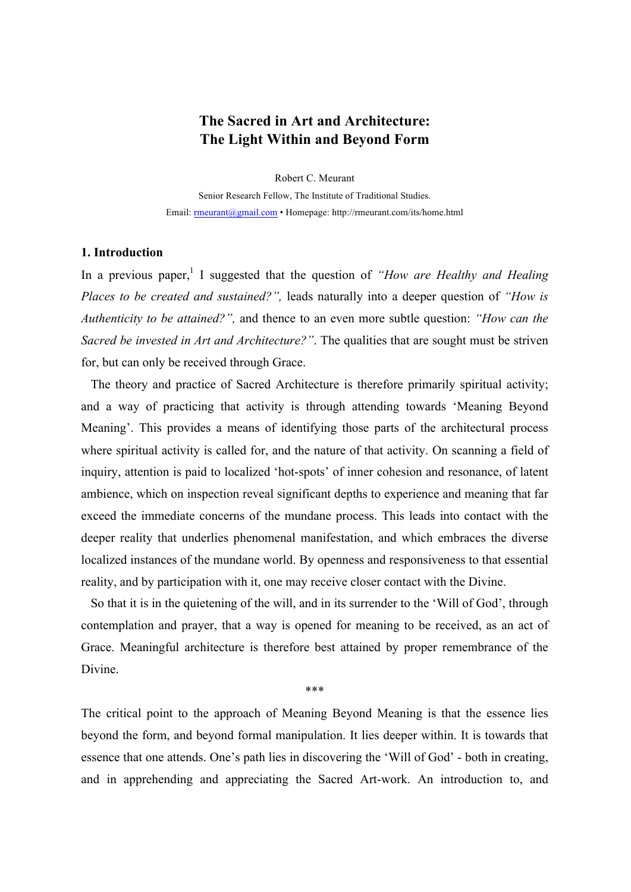## **The Sacred in Art and Architecture: The Light Within and Beyond Form**

Robert C. Meurant

Senior Research Fellow, The Institute of Traditional Studies. Email: rmeurant@gmail.com • Homepage: http://rmeurant.com/its/home.html

## **1. Introduction**

In a previous paper,<sup>1</sup> I suggested that the question of *"How are Healthy and Healing Places to be created and sustained?",* leads naturally into a deeper question of *"How is Authenticity to be attained?",* and thence to an even more subtle question: *"How can the Sacred be invested in Art and Architecture?"*. The qualities that are sought must be striven for, but can only be received through Grace.

The theory and practice of Sacred Architecture is therefore primarily spiritual activity; and a way of practicing that activity is through attending towards 'Meaning Beyond Meaning'. This provides a means of identifying those parts of the architectural process where spiritual activity is called for, and the nature of that activity. On scanning a field of inquiry, attention is paid to localized 'hot-spots' of inner cohesion and resonance, of latent ambience, which on inspection reveal significant depths to experience and meaning that far exceed the immediate concerns of the mundane process. This leads into contact with the deeper reality that underlies phenomenal manifestation, and which embraces the diverse localized instances of the mundane world. By openness and responsiveness to that essential reality, and by participation with it, one may receive closer contact with the Divine.

So that it is in the quietening of the will, and in its surrender to the 'Will of God', through contemplation and prayer, that a way is opened for meaning to be received, as an act of Grace. Meaningful architecture is therefore best attained by proper remembrance of the Divine.

\*\*\*

The critical point to the approach of Meaning Beyond Meaning is that the essence lies beyond the form, and beyond formal manipulation. It lies deeper within. It is towards that essence that one attends. One's path lies in discovering the 'Will of God' - both in creating, and in apprehending and appreciating the Sacred Art-work. An introduction to, and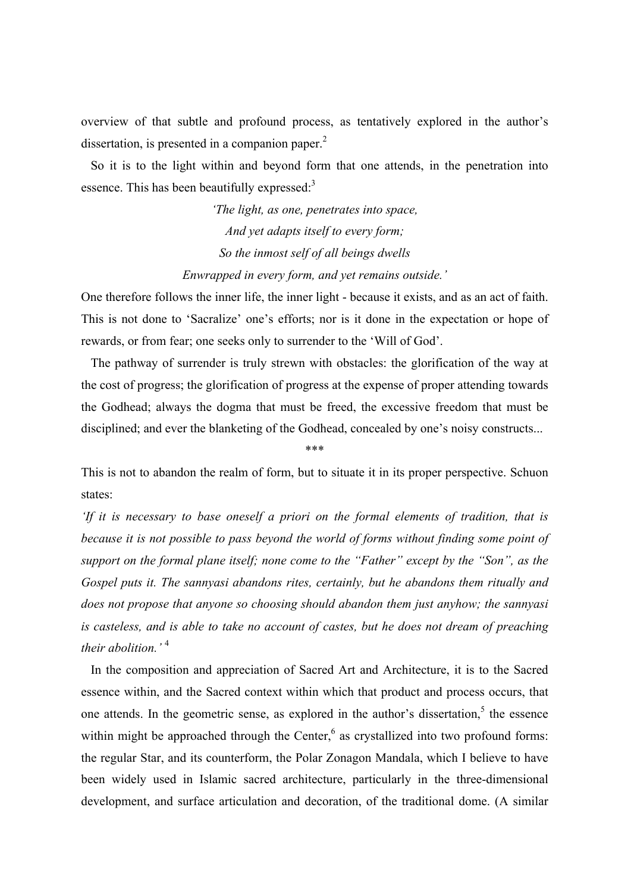overview of that subtle and profound process, as tentatively explored in the author's dissertation, is presented in a companion paper. $<sup>2</sup>$ </sup>

So it is to the light within and beyond form that one attends, in the penetration into essence. This has been beautifully expressed: $3$ 

> *'The light, as one, penetrates into space, And yet adapts itself to every form; So the inmost self of all beings dwells Enwrapped in every form, and yet remains outside.'*

One therefore follows the inner life, the inner light - because it exists, and as an act of faith. This is not done to 'Sacralize' one's efforts; nor is it done in the expectation or hope of rewards, or from fear; one seeks only to surrender to the 'Will of God'.

The pathway of surrender is truly strewn with obstacles: the glorification of the way at the cost of progress; the glorification of progress at the expense of proper attending towards the Godhead; always the dogma that must be freed, the excessive freedom that must be disciplined; and ever the blanketing of the Godhead, concealed by one's noisy constructs...

\*\*\*

This is not to abandon the realm of form, but to situate it in its proper perspective. Schuon states:

*'If it is necessary to base oneself a priori on the formal elements of tradition, that is because it is not possible to pass beyond the world of forms without finding some point of support on the formal plane itself; none come to the "Father" except by the "Son", as the Gospel puts it. The sannyasi abandons rites, certainly, but he abandons them ritually and does not propose that anyone so choosing should abandon them just anyhow; the sannyasi is casteless, and is able to take no account of castes, but he does not dream of preaching their abolition.'* <sup>4</sup>

In the composition and appreciation of Sacred Art and Architecture, it is to the Sacred essence within, and the Sacred context within which that product and process occurs, that one attends. In the geometric sense, as explored in the author's dissertation, $5$  the essence within might be approached through the Center, $6$  as crystallized into two profound forms: the regular Star, and its counterform, the Polar Zonagon Mandala, which I believe to have been widely used in Islamic sacred architecture, particularly in the three-dimensional development, and surface articulation and decoration, of the traditional dome. (A similar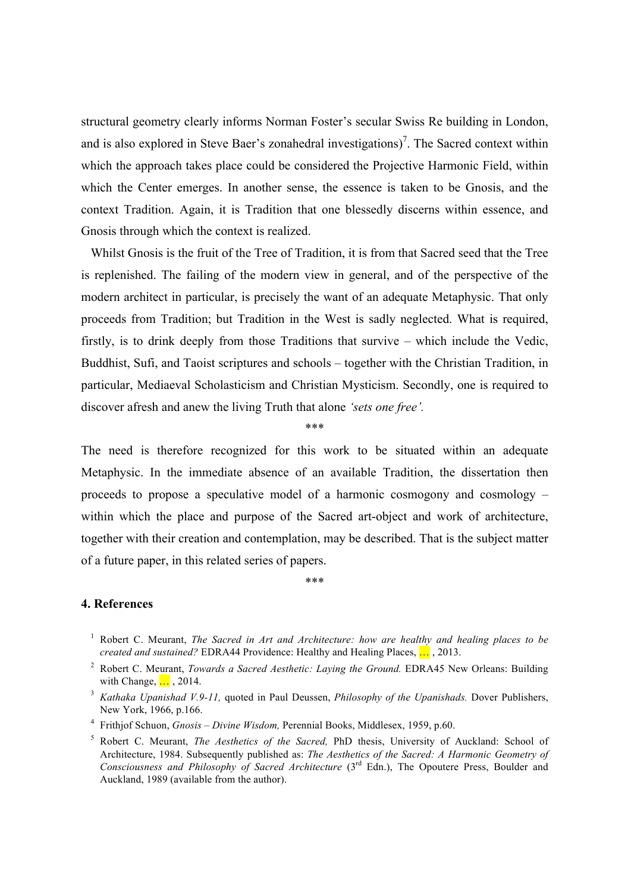structural geometry clearly informs Norman Foster's secular Swiss Re building in London, and is also explored in Steve Baer's zonahedral investigations)<sup>7</sup>. The Sacred context within which the approach takes place could be considered the Projective Harmonic Field, within which the Center emerges. In another sense, the essence is taken to be Gnosis, and the context Tradition. Again, it is Tradition that one blessedly discerns within essence, and Gnosis through which the context is realized.

Whilst Gnosis is the fruit of the Tree of Tradition, it is from that Sacred seed that the Tree is replenished. The failing of the modern view in general, and of the perspective of the modern architect in particular, is precisely the want of an adequate Metaphysic. That only proceeds from Tradition; but Tradition in the West is sadly neglected. What is required, firstly, is to drink deeply from those Traditions that survive – which include the Vedic, Buddhist, Sufi, and Taoist scriptures and schools – together with the Christian Tradition, in particular, Mediaeval Scholasticism and Christian Mysticism. Secondly, one is required to discover afresh and anew the living Truth that alone *'sets one free'.*

\*\*\*

The need is therefore recognized for this work to be situated within an adequate Metaphysic. In the immediate absence of an available Tradition, the dissertation then proceeds to propose a speculative model of a harmonic cosmogony and cosmology – within which the place and purpose of the Sacred art-object and work of architecture, together with their creation and contemplation, may be described. That is the subject matter of a future paper, in this related series of papers.

\*\*\*

## **4. References**

- <sup>1</sup> Robert C. Meurant, *The Sacred in Art and Architecture: how are healthy and healing places to be created and sustained?* EDRA44 Providence: Healthy and Healing Places, … , 2013.
- <sup>2</sup> Robert C. Meurant, *Towards a Sacred Aesthetic: Laying the Ground.* EDRA45 New Orleans: Building with Change, ..., 2014.
- <sup>3</sup> *Kathaka Upanishad V.9-11,* quoted in Paul Deussen, *Philosophy of the Upanishads.* Dover Publishers, New York, 1966, p.166.
- <sup>4</sup> Frithjof Schuon, *Gnosis – Divine Wisdom,* Perennial Books, Middlesex, 1959, p.60.
- <sup>5</sup> Robert C. Meurant, *The Aesthetics of the Sacred,* PhD thesis, University of Auckland: School of Architecture, 1984. Subsequently published as: *The Aesthetics of the Sacred: A Harmonic Geometry of Consciousness and Philosophy of Sacred Architecture* (3rd Edn.), The Opoutere Press, Boulder and Auckland, 1989 (available from the author).